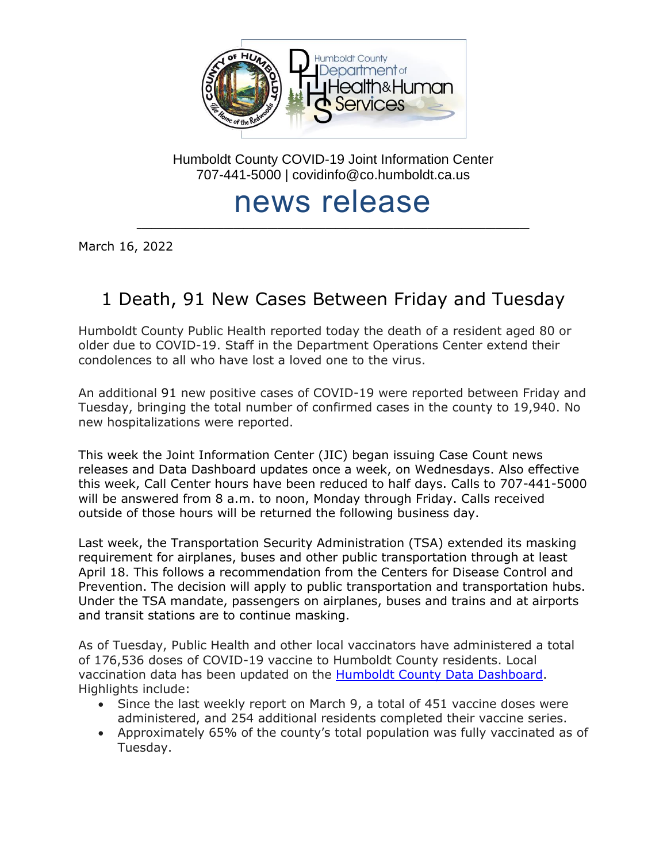

Humboldt County COVID-19 Joint Information Center 707-441-5000 | covidinfo@co.humboldt.ca.us

# news release

\_\_\_\_\_\_\_\_\_\_\_\_\_\_\_\_\_\_\_\_\_\_\_\_\_\_\_\_\_\_\_\_\_\_\_\_\_\_\_\_\_\_\_\_\_\_\_\_\_\_\_\_\_\_\_\_\_\_\_\_\_\_\_\_\_\_\_\_\_\_\_\_\_\_\_\_\_\_\_\_\_

March 16, 2022

# 1 Death, 91 New Cases Between Friday and Tuesday

Humboldt County Public Health reported today the death of a resident aged 80 or older due to COVID-19. Staff in the Department Operations Center extend their condolences to all who have lost a loved one to the virus.

An additional 91 new positive cases of COVID-19 were reported between Friday and Tuesday, bringing the total number of confirmed cases in the county to 19,940. No new hospitalizations were reported.

This week the Joint Information Center (JIC) began issuing Case Count news releases and Data Dashboard updates once a week, on Wednesdays. Also effective this week, Call Center hours have been reduced to half days. Calls to 707-441-5000 will be answered from 8 a.m. to noon, Monday through Friday. Calls received outside of those hours will be returned the following business day.

Last week, the Transportation Security Administration (TSA) extended its masking requirement for airplanes, buses and other public transportation through at least April 18. This follows a recommendation from the Centers for Disease Control and Prevention. The decision will apply to public transportation and transportation hubs. Under the TSA mandate, passengers on airplanes, buses and trains and at airports and transit stations are to continue masking.

As of Tuesday, Public Health and other local vaccinators have administered a total of 176,536 doses of COVID-19 vaccine to Humboldt County residents. Local vaccination data has been updated on the [Humboldt County Data Dashboard.](https://docs.google.com/spreadsheets/d/e/2PACX-1vRumJLxZ2OIN9TBV14uUbtdhxLDxddnDh0J3ASGUHMYvoS_dyal8OW2xOkbspt_hx3gj2tM5ByyVfTK/pubhtml?gid=2002140219&single=true) Highlights include:

- Since the last weekly report on March 9, a total of 451 vaccine doses were administered, and 254 additional residents completed their vaccine series.
- Approximately 65% of the county's total population was fully vaccinated as of Tuesday.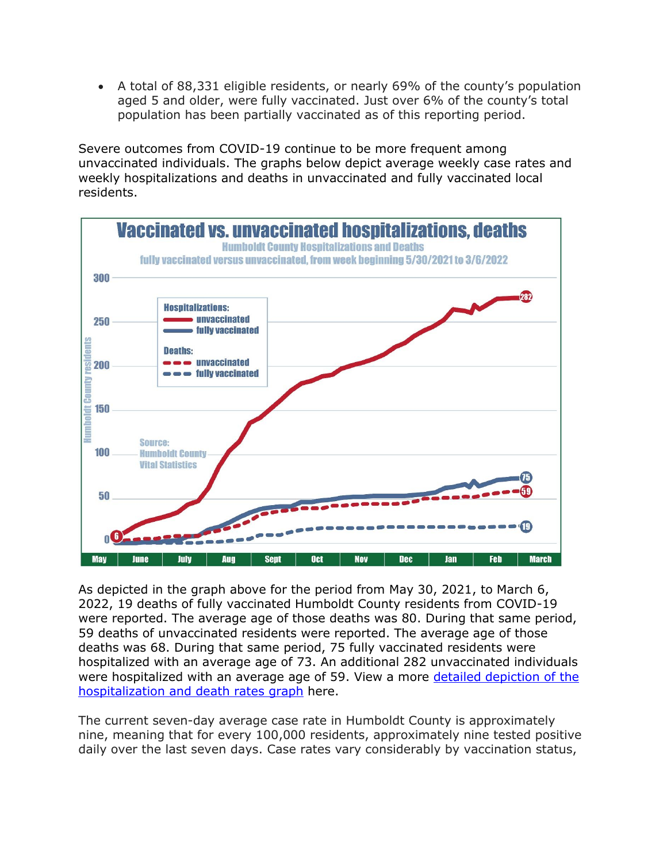• A total of 88,331 eligible residents, or nearly 69% of the county's population aged 5 and older, were fully vaccinated. Just over 6% of the county's total population has been partially vaccinated as of this reporting period.

Severe outcomes from COVID-19 continue to be more frequent among unvaccinated individuals. The graphs below depict average weekly case rates and weekly hospitalizations and deaths in unvaccinated and fully vaccinated local residents.



As depicted in the graph above for the period from May 30, 2021, to March 6, 2022, 19 deaths of fully vaccinated Humboldt County residents from COVID-19 were reported. The average age of those deaths was 80. During that same period, 59 deaths of unvaccinated residents were reported. The average age of those deaths was 68. During that same period, 75 fully vaccinated residents were hospitalized with an average age of 73. An additional 282 unvaccinated individuals were hospitalized with an average age of 59. View a more detailed depiction of the [hospitalization and death rates graph](https://humboldtgov.org/DocumentCenter/View/105631/Hospitalization-MortalityRatesByVaccinationStatus_WeeklyAvg---20220316-PDF) here.

The current seven-day average case rate in Humboldt County is approximately nine, meaning that for every 100,000 residents, approximately nine tested positive daily over the last seven days. Case rates vary considerably by vaccination status,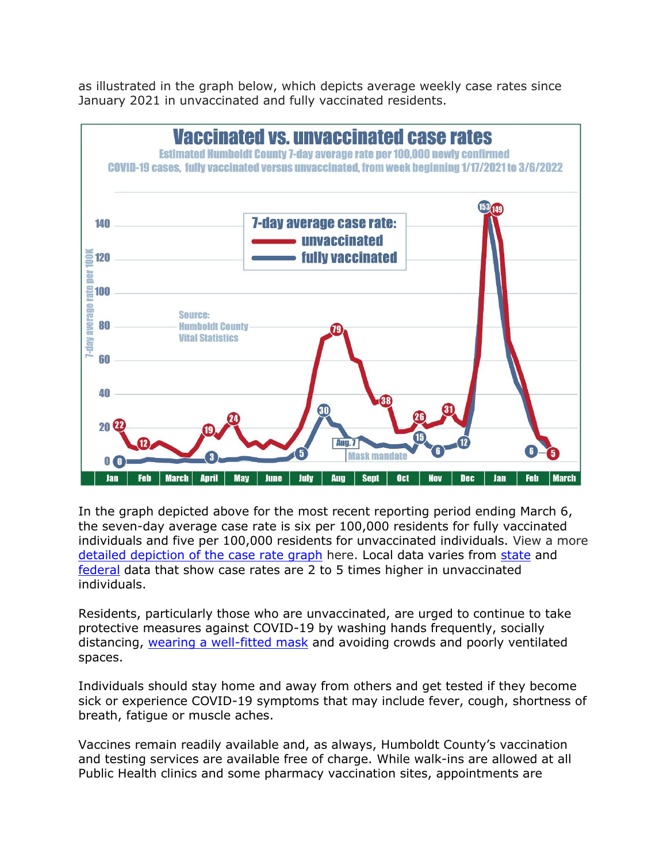as illustrated in the graph below, which depicts average weekly case rates since January 2021 in unvaccinated and fully vaccinated residents.



In the graph depicted above for the most recent reporting period ending March 6, the seven-day average case rate is six per 100,000 residents for fully vaccinated individuals and five per 100,000 residents for unvaccinated individuals. View a more [detailed depiction of the case](https://humboldtgov.org/DocumentCenter/View/105632/COVIDrates_InfoGraphic_20220316-PDF) rate graph here. Local data varies from [state](https://covid19.ca.gov/state-dashboard/#postvax-status) and [federal](https://covid.cdc.gov/covid-data-tracker/#rates-by-vaccine-status) data that show case rates are 2 to 5 times higher in unvaccinated individuals.

Residents, particularly those who are unvaccinated, are urged to continue to take protective measures against COVID-19 by washing hands frequently, socially distancing, [wearing a well-fitted mask](https://www.cdc.gov/coronavirus/2019-ncov/prevent-getting-sick/types-of-masks.html) and avoiding crowds and poorly ventilated spaces.

Individuals should stay home and away from others and get tested if they become sick or experience COVID-19 symptoms that may include fever, cough, shortness of breath, fatigue or muscle aches.

Vaccines remain readily available and, as always, Humboldt County's vaccination and testing services are available free of charge. While walk-ins are allowed at all Public Health clinics and some pharmacy vaccination sites, appointments are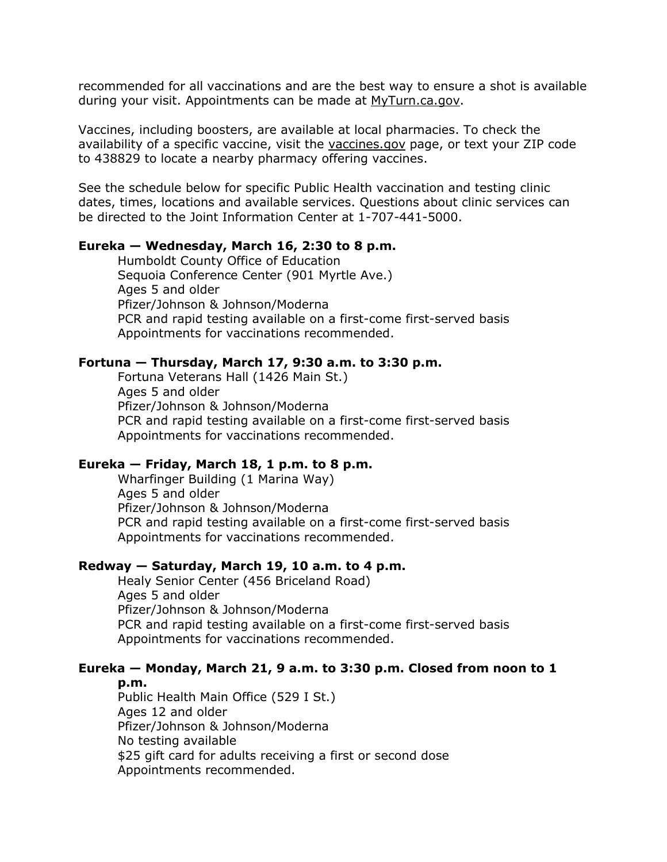recommended for all vaccinations and are the best way to ensure a shot is available during your visit. Appointments can be made at [MyTurn.ca.gov.](https://myturn.ca.gov/)

Vaccines, including boosters, are available at local pharmacies. To check the availability of a specific vaccine, visit the [vaccines.gov](https://www.vaccines.gov/search/) page, or text your ZIP code to 438829 to locate a nearby pharmacy offering vaccines.

See the schedule below for specific Public Health vaccination and testing clinic dates, times, locations and available services. Questions about clinic services can be directed to the Joint Information Center at 1-707-441-5000.

#### **Eureka — Wednesday, March 16, 2:30 to 8 p.m.**

Humboldt County Office of Education Sequoia Conference Center (901 Myrtle Ave.) Ages 5 and older Pfizer/Johnson & Johnson/Moderna PCR and rapid testing available on a first-come first-served basis Appointments for vaccinations recommended.

#### **Fortuna — Thursday, March 17, 9:30 a.m. to 3:30 p.m.**

Fortuna Veterans Hall (1426 Main St.) Ages 5 and older Pfizer/Johnson & Johnson/Moderna PCR and rapid testing available on a first-come first-served basis Appointments for vaccinations recommended.

## **Eureka — Friday, March 18, 1 p.m. to 8 p.m.**

Wharfinger Building (1 Marina Way) Ages 5 and older Pfizer/Johnson & Johnson/Moderna PCR and rapid testing available on a first-come first-served basis Appointments for vaccinations recommended.

#### **Redway — Saturday, March 19, 10 a.m. to 4 p.m.**

Healy Senior Center (456 Briceland Road) Ages 5 and older Pfizer/Johnson & Johnson/Moderna PCR and rapid testing available on a first-come first-served basis Appointments for vaccinations recommended.

# **Eureka — Monday, March 21, 9 a.m. to 3:30 p.m. Closed from noon to 1**

**p.m.**

Public Health Main Office (529 I St.) Ages 12 and older Pfizer/Johnson & Johnson/Moderna No testing available \$25 gift card for adults receiving a first or second dose Appointments recommended.